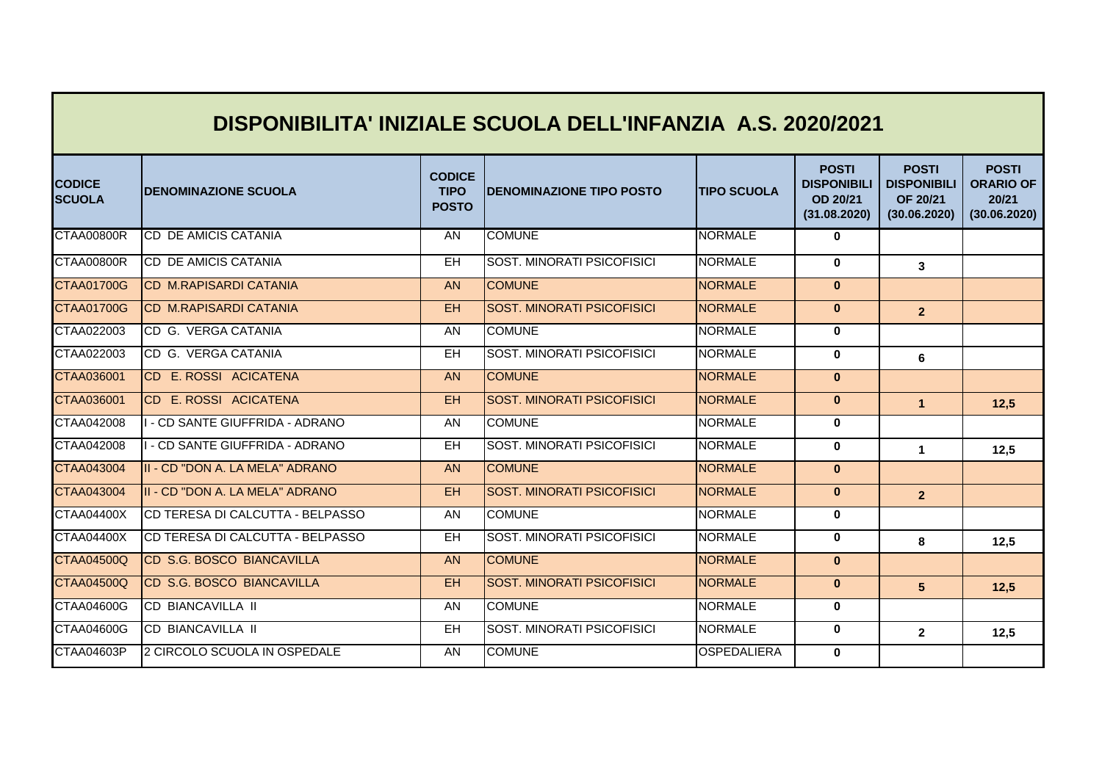|                                | DISPONIBILITA' INIZIALE SCUOLA DELL'INFANZIA A.S. 2020/2021 |                                              |                                   |                    |                                                                |                                                                |                                                           |  |  |  |  |  |
|--------------------------------|-------------------------------------------------------------|----------------------------------------------|-----------------------------------|--------------------|----------------------------------------------------------------|----------------------------------------------------------------|-----------------------------------------------------------|--|--|--|--|--|
| <b>CODICE</b><br><b>SCUOLA</b> | <b>DENOMINAZIONE SCUOLA</b>                                 | <b>CODICE</b><br><b>TIPO</b><br><b>POSTO</b> | <b>DENOMINAZIONE TIPO POSTO</b>   | <b>TIPO SCUOLA</b> | <b>POSTI</b><br><b>DISPONIBILI</b><br>OD 20/21<br>(31.08.2020) | <b>POSTI</b><br><b>DISPONIBILI</b><br>OF 20/21<br>(30.06.2020) | <b>POSTI</b><br><b>ORARIO OF</b><br>20/21<br>(30.06.2020) |  |  |  |  |  |
| CTAA00800R                     | <b>ICD DE AMICIS CATANIA</b>                                | AN                                           | <b>COMUNE</b>                     | <b>NORMALE</b>     | $\mathbf 0$                                                    |                                                                |                                                           |  |  |  |  |  |
| <b>CTAA00800R</b>              | <b>CD DE AMICIS CATANIA</b>                                 | EH                                           | <b>SOST. MINORATI PSICOFISICI</b> | <b>NORMALE</b>     | $\mathbf{0}$                                                   | 3                                                              |                                                           |  |  |  |  |  |
| <b>CTAA01700G</b>              | <b>CD M.RAPISARDI CATANIA</b>                               | <b>AN</b>                                    | <b>COMUNE</b>                     | <b>NORMALE</b>     | $\mathbf{0}$                                                   |                                                                |                                                           |  |  |  |  |  |
| <b>CTAA01700G</b>              | <b>CD M.RAPISARDI CATANIA</b>                               | EH                                           | <b>SOST. MINORATI PSICOFISICI</b> | <b>NORMALE</b>     | $\mathbf{0}$                                                   | $\overline{2}$                                                 |                                                           |  |  |  |  |  |
| CTAA022003                     | CD G. VERGA CATANIA                                         | AN                                           | <b>COMUNE</b>                     | <b>NORMALE</b>     | $\mathbf 0$                                                    |                                                                |                                                           |  |  |  |  |  |
| CTAA022003                     | CD G. VERGA CATANIA                                         | EH                                           | <b>SOST. MINORATI PSICOFISICI</b> | <b>NORMALE</b>     | $\mathbf 0$                                                    | 6                                                              |                                                           |  |  |  |  |  |
| CTAA036001                     | CD E. ROSSI ACICATENA                                       | <b>AN</b>                                    | <b>COMUNE</b>                     | <b>NORMALE</b>     | $\mathbf{0}$                                                   |                                                                |                                                           |  |  |  |  |  |
| CTAA036001                     | CD E. ROSSI ACICATENA                                       | <b>EH</b>                                    | <b>SOST. MINORATI PSICOFISICI</b> | <b>NORMALE</b>     | $\mathbf{0}$                                                   | $\mathbf{1}$                                                   | 12.5                                                      |  |  |  |  |  |
| CTAA042008                     | I - CD SANTE GIUFFRIDA - ADRANO                             | AN                                           | <b>COMUNE</b>                     | <b>NORMALE</b>     | $\mathbf{0}$                                                   |                                                                |                                                           |  |  |  |  |  |
| CTAA042008                     | I - CD SANTE GIUFFRIDA - ADRANO                             | <b>EH</b>                                    | <b>SOST. MINORATI PSICOFISICI</b> | <b>NORMALE</b>     | $\bf{0}$                                                       | $\mathbf{1}$                                                   | 12,5                                                      |  |  |  |  |  |
| CTAA043004                     | II - CD "DON A. LA MELA" ADRANO                             | <b>AN</b>                                    | <b>COMUNE</b>                     | <b>NORMALE</b>     | $\mathbf{0}$                                                   |                                                                |                                                           |  |  |  |  |  |
| CTAA043004                     | II - CD "DON A. LA MELA" ADRANO                             | EH.                                          | <b>SOST. MINORATI PSICOFISICI</b> | <b>NORMALE</b>     | $\mathbf{0}$                                                   | $\overline{2}$                                                 |                                                           |  |  |  |  |  |
| CTAA04400X                     | <b>CD TERESA DI CALCUTTA - BELPASSO</b>                     | AN                                           | <b>COMUNE</b>                     | <b>NORMALE</b>     | $\mathbf{0}$                                                   |                                                                |                                                           |  |  |  |  |  |
| CTAA04400X                     | ICD TERESA DI CALCUTTA - BELPASSO                           | <b>EH</b>                                    | <b>SOST. MINORATI PSICOFISICI</b> | <b>NORMALE</b>     | $\mathbf{0}$                                                   | 8                                                              | 12,5                                                      |  |  |  |  |  |
| <b>CTAA04500Q</b>              | CD S.G. BOSCO BIANCAVILLA                                   | <b>AN</b>                                    | <b>COMUNE</b>                     | <b>NORMALE</b>     | $\mathbf{0}$                                                   |                                                                |                                                           |  |  |  |  |  |
| <b>CTAA04500Q</b>              | CD S.G. BOSCO BIANCAVILLA                                   | EH.                                          | <b>SOST. MINORATI PSICOFISICI</b> | <b>NORMALE</b>     | $\mathbf{0}$                                                   | 5                                                              | 12,5                                                      |  |  |  |  |  |
| CTAA04600G                     | <b>CD BIANCAVILLA II</b>                                    | AN                                           | <b>COMUNE</b>                     | <b>NORMALE</b>     | $\mathbf 0$                                                    |                                                                |                                                           |  |  |  |  |  |
| CTAA04600G                     | <b>CD BIANCAVILLA II</b>                                    | <b>EH</b>                                    | <b>SOST. MINORATI PSICOFISICI</b> | <b>NORMALE</b>     | $\mathbf{0}$                                                   | $\overline{2}$                                                 | 12,5                                                      |  |  |  |  |  |
| CTAA04603P                     | 2 CIRCOLO SCUOLA IN OSPEDALE                                | AN                                           | <b>COMUNE</b>                     | <b>OSPEDALIERA</b> | $\mathbf 0$                                                    |                                                                |                                                           |  |  |  |  |  |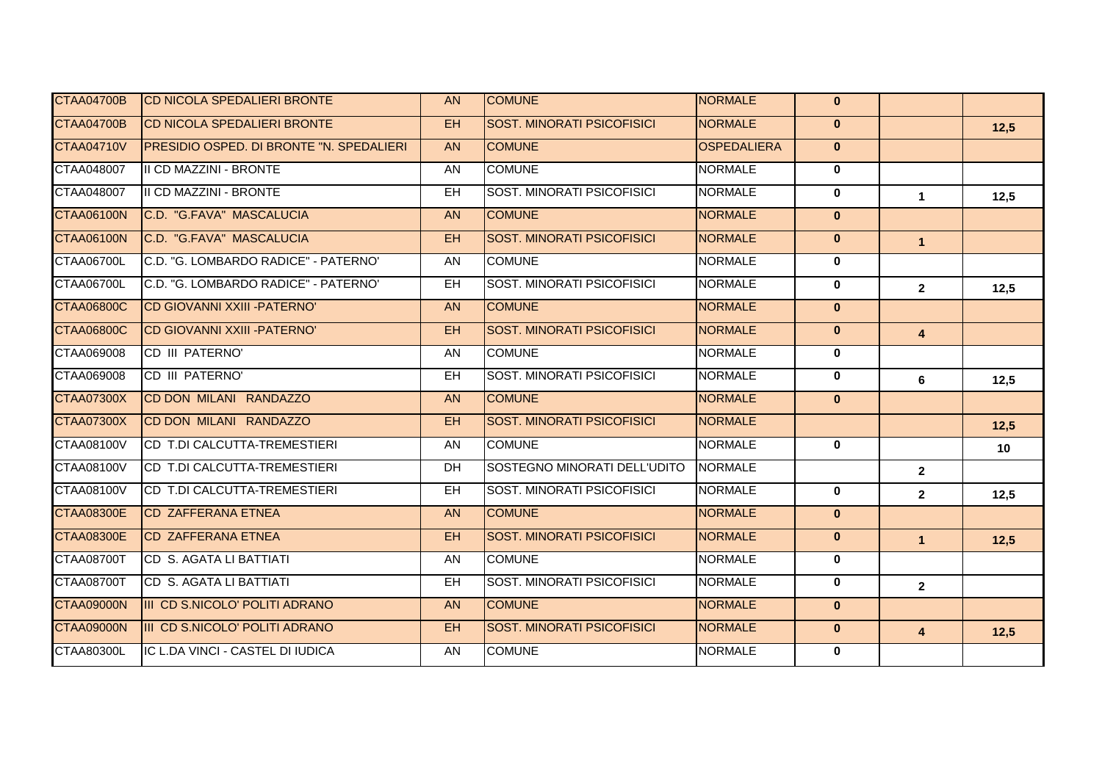| <b>CTAA04700B</b> | CD NICOLA SPEDALIERI BRONTE              | <b>AN</b> | <b>COMUNE</b>                     | <b>NORMALE</b>     | $\mathbf{0}$ |                         |                 |
|-------------------|------------------------------------------|-----------|-----------------------------------|--------------------|--------------|-------------------------|-----------------|
| <b>CTAA04700B</b> | CD NICOLA SPEDALIERI BRONTE              | EH.       | <b>SOST. MINORATI PSICOFISICI</b> | <b>NORMALE</b>     | $\mathbf{0}$ |                         | 12,5            |
| <b>CTAA04710V</b> | PRESIDIO OSPED. DI BRONTE "N. SPEDALIERI | <b>AN</b> | <b>COMUNE</b>                     | <b>OSPEDALIERA</b> | $\mathbf{0}$ |                         |                 |
| CTAA048007        | III CD MAZZINI - BRONTE                  | AN        | <b>COMUNE</b>                     | <b>NORMALE</b>     | $\mathbf 0$  |                         |                 |
| CTAA048007        | II CD MAZZINI - BRONTE                   | <b>EH</b> | SOST. MINORATI PSICOFISICI        | <b>NORMALE</b>     | $\mathbf{0}$ | $\mathbf 1$             | 12,5            |
| <b>CTAA06100N</b> | C.D. "G.FAVA" MASCALUCIA                 | <b>AN</b> | <b>COMUNE</b>                     | <b>NORMALE</b>     | $\mathbf{0}$ |                         |                 |
| <b>CTAA06100N</b> | C.D. "G.FAVA" MASCALUCIA                 | EH.       | <b>SOST. MINORATI PSICOFISICI</b> | <b>NORMALE</b>     | $\mathbf{0}$ | $\blacktriangleleft$    |                 |
| CTAA06700L        | C.D. "G. LOMBARDO RADICE" - PATERNO'     | AN        | <b>COMUNE</b>                     | <b>NORMALE</b>     | $\mathbf 0$  |                         |                 |
| <b>CTAA06700L</b> | C.D. "G. LOMBARDO RADICE" - PATERNO'     | EH.       | SOST. MINORATI PSICOFISICI        | <b>NORMALE</b>     | $\mathbf 0$  | $\overline{2}$          | 12,5            |
| <b>CTAA06800C</b> | <b>CD GIOVANNI XXIII - PATERNO'</b>      | AN.       | <b>COMUNE</b>                     | <b>NORMALE</b>     | $\mathbf{0}$ |                         |                 |
| <b>CTAA06800C</b> | CD GIOVANNI XXIII - PATERNO'             | EH.       | <b>SOST. MINORATI PSICOFISICI</b> | <b>NORMALE</b>     | $\mathbf{0}$ | $\overline{\mathbf{4}}$ |                 |
| CTAA069008        | <b>CD III PATERNO'</b>                   | <b>AN</b> | <b>COMUNE</b>                     | <b>NORMALE</b>     | $\mathbf{0}$ |                         |                 |
| CTAA069008        | CD III PATERNO'                          | EH.       | <b>SOST. MINORATI PSICOFISICI</b> | <b>NORMALE</b>     | $\mathbf{0}$ | 6                       | 12,5            |
| <b>CTAA07300X</b> | CD DON MILANI RANDAZZO                   | <b>AN</b> | <b>COMUNE</b>                     | <b>NORMALE</b>     | $\mathbf{0}$ |                         |                 |
| <b>CTAA07300X</b> | CD DON MILANI RANDAZZO                   | EH.       | <b>SOST. MINORATI PSICOFISICI</b> | <b>NORMALE</b>     |              |                         | 12,5            |
| CTAA08100V        | CD T.DI CALCUTTA-TREMESTIERI             | <b>AN</b> | <b>COMUNE</b>                     | <b>NORMALE</b>     | $\mathbf{0}$ |                         | 10 <sup>°</sup> |
| <b>CTAA08100V</b> | CD T.DI CALCUTTA-TREMESTIERI             | DH.       | SOSTEGNO MINORATI DELL'UDITO      | <b>NORMALE</b>     |              | 2 <sup>1</sup>          |                 |
| <b>CTAA08100V</b> | CD T.DI CALCUTTA-TREMESTIERI             | EH.       | <b>SOST. MINORATI PSICOFISICI</b> | <b>NORMALE</b>     | $\mathbf{0}$ | $\mathbf{2}$            | 12,5            |
| <b>CTAA08300E</b> | CD ZAFFERANA ETNEA                       | <b>AN</b> | <b>COMUNE</b>                     | <b>NORMALE</b>     | $\mathbf{0}$ |                         |                 |
| <b>CTAA08300E</b> | <b>CD ZAFFERANA ETNEA</b>                | EH.       | <b>SOST. MINORATI PSICOFISICI</b> | <b>NORMALE</b>     | $\mathbf{0}$ | $\mathbf{1}$            | 12,5            |
| <b>CTAA08700T</b> | CD S. AGATA LI BATTIATI                  | AN.       | <b>COMUNE</b>                     | <b>NORMALE</b>     | $\mathbf{0}$ |                         |                 |
| CTAA08700T        | CD S. AGATA LI BATTIATI                  | EH.       | <b>SOST. MINORATI PSICOFISICI</b> | <b>NORMALE</b>     | $\mathbf{0}$ | $\mathbf{2}$            |                 |
| <b>CTAA09000N</b> | <b>III CD S.NICOLO' POLITI ADRANO</b>    | <b>AN</b> | <b>COMUNE</b>                     | <b>NORMALE</b>     | $\mathbf{0}$ |                         |                 |
| <b>CTAA09000N</b> | <b>III CD S.NICOLO' POLITI ADRANO</b>    | EH.       | <b>SOST. MINORATI PSICOFISICI</b> | <b>NORMALE</b>     | $\mathbf{0}$ | $\overline{\mathbf{4}}$ | 12,5            |
| CTAA80300L        | IC L.DA VINCI - CASTEL DI IUDICA         | AN        | <b>COMUNE</b>                     | <b>NORMALE</b>     | $\mathbf{0}$ |                         |                 |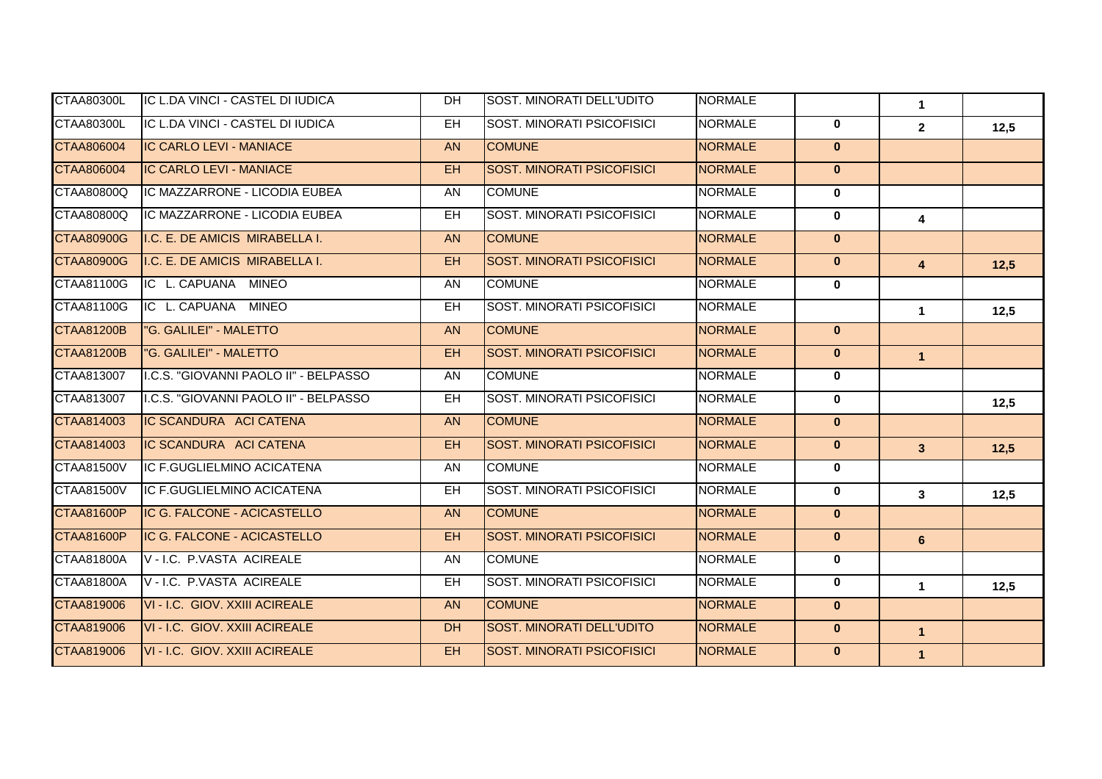| <b>CTAA80300L</b> | IC L.DA VINCI - CASTEL DI IUDICA      | DH.       | SOST. MINORATI DELL'UDITO         | <b>NORMALE</b> |              | $\mathbf 1$             |      |
|-------------------|---------------------------------------|-----------|-----------------------------------|----------------|--------------|-------------------------|------|
| <b>CTAA80300L</b> | IC L.DA VINCI - CASTEL DI IUDICA      | EH.       | <b>SOST. MINORATI PSICOFISICI</b> | <b>NORMALE</b> | $\mathbf 0$  | $\mathbf{2}$            | 12,5 |
| CTAA806004        | IC CARLO LEVI - MANIACE               | <b>AN</b> | <b>COMUNE</b>                     | <b>NORMALE</b> | $\mathbf{0}$ |                         |      |
| CTAA806004        | IC CARLO LEVI - MANIACE               | EH.       | <b>SOST. MINORATI PSICOFISICI</b> | <b>NORMALE</b> | $\mathbf{0}$ |                         |      |
| CTAA80800Q        | IC MAZZARRONE - LICODIA EUBEA         | AN        | <b>COMUNE</b>                     | <b>NORMALE</b> | $\mathbf{0}$ |                         |      |
| CTAA80800Q        | IC MAZZARRONE - LICODIA EUBEA         | <b>EH</b> | SOST. MINORATI PSICOFISICI        | <b>NORMALE</b> | $\mathbf 0$  | 4                       |      |
| <b>CTAA80900G</b> | I.C. E. DE AMICIS MIRABELLA I.        | AN.       | <b>COMUNE</b>                     | <b>NORMALE</b> | $\mathbf{0}$ |                         |      |
| <b>CTAA80900G</b> | I.C. E. DE AMICIS MIRABELLA I.        | EH.       | <b>SOST. MINORATI PSICOFISICI</b> | <b>NORMALE</b> | $\mathbf{0}$ | $\overline{\mathbf{4}}$ | 12,5 |
| CTAA81100G        | IC L. CAPUANA MINEO                   | AN        | <b>COMUNE</b>                     | <b>NORMALE</b> | $\mathbf 0$  |                         |      |
| CTAA81100G        | IC L. CAPUANA MINEO                   | EH.       | SOST. MINORATI PSICOFISICI        | <b>NORMALE</b> |              | $\blacktriangleleft$    | 12,5 |
| <b>CTAA81200B</b> | "G. GALILEI" - MALETTO                | <b>AN</b> | <b>COMUNE</b>                     | <b>NORMALE</b> | $\mathbf{0}$ |                         |      |
| <b>CTAA81200B</b> | "G. GALILEI" - MALETTO                | EH.       | <b>SOST. MINORATI PSICOFISICI</b> | <b>NORMALE</b> | $\mathbf{0}$ | $\mathbf{1}$            |      |
| CTAA813007        | I.C.S. "GIOVANNI PAOLO II" - BELPASSO | <b>AN</b> | <b>COMUNE</b>                     | <b>NORMALE</b> | $\mathbf{0}$ |                         |      |
| CTAA813007        | I.C.S. "GIOVANNI PAOLO II" - BELPASSO | EH.       | <b>SOST. MINORATI PSICOFISICI</b> | <b>NORMALE</b> | $\mathbf{0}$ |                         | 12,5 |
| CTAA814003        | IC SCANDURA ACI CATENA                | <b>AN</b> | <b>COMUNE</b>                     | <b>NORMALE</b> | $\mathbf{0}$ |                         |      |
| CTAA814003        | IC SCANDURA ACI CATENA                | EH.       | <b>SOST. MINORATI PSICOFISICI</b> | <b>NORMALE</b> | $\mathbf{0}$ | 3 <sup>1</sup>          | 12,5 |
| <b>CTAA81500V</b> | IC F.GUGLIELMINO ACICATENA            | AN.       | <b>COMUNE</b>                     | <b>NORMALE</b> | $\mathbf{0}$ |                         |      |
| <b>CTAA81500V</b> | IC F.GUGLIELMINO ACICATENA            | EH.       | <b>SOST. MINORATI PSICOFISICI</b> | <b>NORMALE</b> | $\mathbf{0}$ | 3                       | 12,5 |
| <b>CTAA81600P</b> | IC G. FALCONE - ACICASTELLO           | <b>AN</b> | <b>COMUNE</b>                     | <b>NORMALE</b> | $\mathbf{0}$ |                         |      |
| <b>CTAA81600P</b> | IC G. FALCONE - ACICASTELLO           | EH.       | <b>SOST. MINORATI PSICOFISICI</b> | <b>NORMALE</b> | $\mathbf{0}$ | 6                       |      |
| CTAA81800A        | V-I.C. P.VASTA ACIREALE               | AN.       | <b>COMUNE</b>                     | <b>NORMALE</b> | $\mathbf{0}$ |                         |      |
| CTAA81800A        | V-I.C. P.VASTA ACIREALE               | EH.       | <b>SOST. MINORATI PSICOFISICI</b> | <b>NORMALE</b> | $\mathbf 0$  | $\mathbf{1}$            | 12,5 |
| CTAA819006        | VI - I.C. GIOV. XXIII ACIREALE        | <b>AN</b> | <b>COMUNE</b>                     | <b>NORMALE</b> | $\mathbf{0}$ |                         |      |
| CTAA819006        | VI - I.C. GIOV. XXIII ACIREALE        | DH.       | <b>SOST. MINORATI DELL'UDITO</b>  | <b>NORMALE</b> | $\mathbf{0}$ | $\mathbf{1}$            |      |
| CTAA819006        | VI - I.C. GIOV. XXIII ACIREALE        | EH.       | <b>SOST. MINORATI PSICOFISICI</b> | <b>NORMALE</b> | $\mathbf{0}$ | $\mathbf{1}$            |      |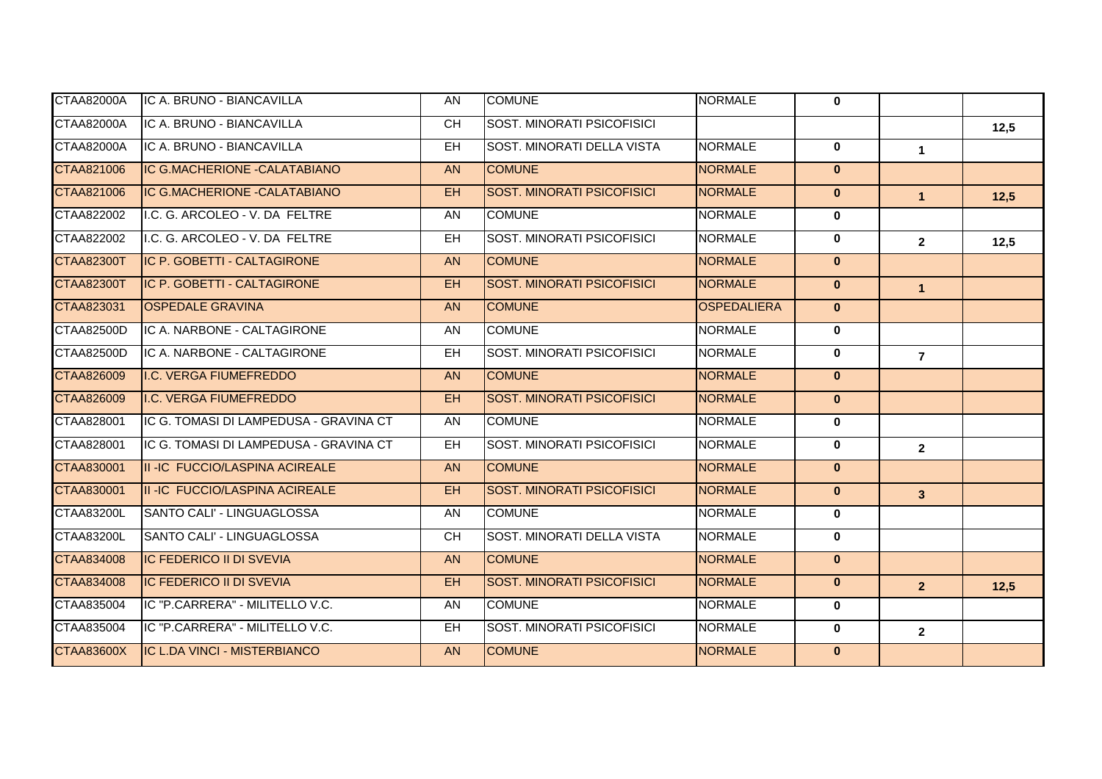| CTAA82000A        | IC A. BRUNO - BIANCAVILLA              | AN        | <b>COMUNE</b>                     | <b>NORMALE</b>     | $\mathbf{0}$ |                |      |
|-------------------|----------------------------------------|-----------|-----------------------------------|--------------------|--------------|----------------|------|
| <b>CTAA82000A</b> | IC A. BRUNO - BIANCAVILLA              | <b>CH</b> | SOST. MINORATI PSICOFISICI        |                    |              |                | 12,5 |
| CTAA82000A        | IC A. BRUNO - BIANCAVILLA              | EH        | SOST. MINORATI DELLA VISTA        | <b>NORMALE</b>     | $\mathbf{0}$ | $\mathbf{1}$   |      |
| CTAA821006        | IC G.MACHERIONE - CALATABIANO          | <b>AN</b> | <b>COMUNE</b>                     | <b>NORMALE</b>     | $\mathbf{0}$ |                |      |
| CTAA821006        | IC G.MACHERIONE - CALATABIANO          | EH.       | <b>SOST. MINORATI PSICOFISICI</b> | <b>NORMALE</b>     | $\mathbf{0}$ | $\mathbf{1}$   | 12,5 |
| CTAA822002        | I.C. G. ARCOLEO - V. DA FELTRE         | AN        | <b>COMUNE</b>                     | <b>NORMALE</b>     | $\mathbf{0}$ |                |      |
| CTAA822002        | I.C. G. ARCOLEO - V. DA FELTRE         | EH.       | SOST. MINORATI PSICOFISICI        | <b>NORMALE</b>     | $\mathbf{0}$ | $\overline{2}$ | 12,5 |
| <b>CTAA82300T</b> | IC P. GOBETTI - CALTAGIRONE            | AN.       | <b>COMUNE</b>                     | <b>NORMALE</b>     | $\mathbf{0}$ |                |      |
| <b>CTAA82300T</b> | IC P. GOBETTI - CALTAGIRONE            | EH.       | <b>SOST. MINORATI PSICOFISICI</b> | <b>NORMALE</b>     | $\mathbf{0}$ | $\mathbf{1}$   |      |
| CTAA823031        | <b>OSPEDALE GRAVINA</b>                | <b>AN</b> | <b>COMUNE</b>                     | <b>OSPEDALIERA</b> | $\mathbf{0}$ |                |      |
| CTAA82500D        | IC A. NARBONE - CALTAGIRONE            | AN        | <b>COMUNE</b>                     | <b>NORMALE</b>     | $\mathbf 0$  |                |      |
| CTAA82500D        | IC A. NARBONE - CALTAGIRONE            | EH.       | <b>SOST. MINORATI PSICOFISICI</b> | <b>NORMALE</b>     | $\mathbf{0}$ | $\overline{7}$ |      |
| CTAA826009        | I.C. VERGA FIUMEFREDDO                 | <b>AN</b> | <b>COMUNE</b>                     | <b>NORMALE</b>     | $\mathbf{0}$ |                |      |
| CTAA826009        | I.C. VERGA FIUMEFREDDO                 | EH.       | <b>SOST. MINORATI PSICOFISICI</b> | <b>NORMALE</b>     | $\mathbf{0}$ |                |      |
| CTAA828001        | IC G. TOMASI DI LAMPEDUSA - GRAVINA CT | AN        | <b>COMUNE</b>                     | <b>NORMALE</b>     | $\mathbf{0}$ |                |      |
| CTAA828001        | IC G. TOMASI DI LAMPEDUSA - GRAVINA CT | EH.       | <b>SOST. MINORATI PSICOFISICI</b> | <b>NORMALE</b>     | $\mathbf{0}$ | $\mathbf{2}$   |      |
| CTAA830001        | <b>III-IC FUCCIO/LASPINA ACIREALE</b>  | <b>AN</b> | <b>COMUNE</b>                     | <b>NORMALE</b>     | $\mathbf{0}$ |                |      |
| CTAA830001        | <b>II-IC FUCCIO/LASPINA ACIREALE</b>   | EH.       | <b>SOST. MINORATI PSICOFISICI</b> | <b>NORMALE</b>     | $\mathbf{0}$ | 3 <sup>1</sup> |      |
| <b>CTAA83200L</b> | SANTO CALI' - LINGUAGLOSSA             | <b>AN</b> | <b>COMUNE</b>                     | <b>NORMALE</b>     | $\mathbf 0$  |                |      |
| <b>CTAA83200L</b> | SANTO CALI' - LINGUAGLOSSA             | CH.       | SOST. MINORATI DELLA VISTA        | <b>NORMALE</b>     | 0            |                |      |
| CTAA834008        | <b>IC FEDERICO II DI SVEVIA</b>        | <b>AN</b> | <b>COMUNE</b>                     | <b>NORMALE</b>     | $\mathbf{0}$ |                |      |
| CTAA834008        | IC FEDERICO II DI SVEVIA               | EH.       | <b>SOST. MINORATI PSICOFISICI</b> | <b>NORMALE</b>     | $\mathbf{0}$ | 2 <sup>1</sup> | 12,5 |
| CTAA835004        | IC "P.CARRERA" - MILITELLO V.C.        | AN.       | <b>COMUNE</b>                     | <b>NORMALE</b>     | $\mathbf{0}$ |                |      |
| CTAA835004        | IC "P.CARRERA" - MILITELLO V.C.        | EН        | SOST. MINORATI PSICOFISICI        | <b>NORMALE</b>     | $\mathbf 0$  | $\mathbf{2}$   |      |
| <b>CTAA83600X</b> | IC L.DA VINCI - MISTERBIANCO           | AN.       | <b>COMUNE</b>                     | <b>NORMALE</b>     | $\mathbf{0}$ |                |      |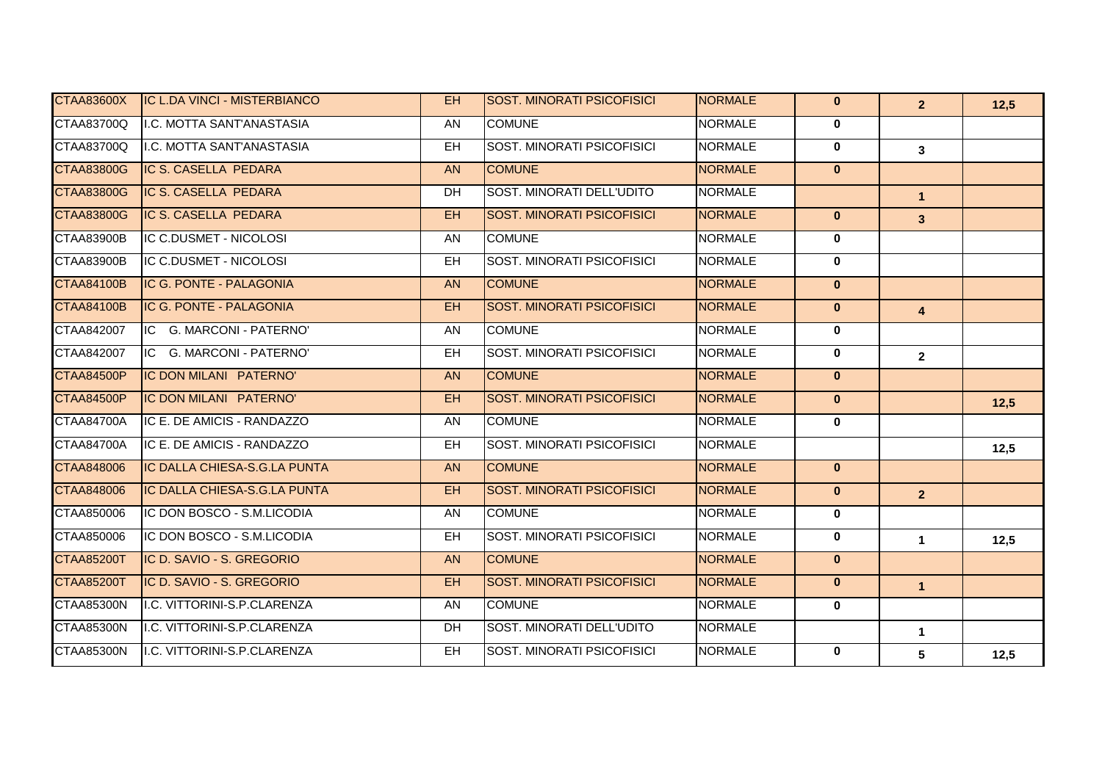| <b>CTAA83600X</b> | IC L.DA VINCI - MISTERBIANCO | <b>EH</b> | <b>SOST. MINORATI PSICOFISICI</b> | <b>NORMALE</b> | $\mathbf{0}$ | 2 <sup>1</sup> | 12,5 |
|-------------------|------------------------------|-----------|-----------------------------------|----------------|--------------|----------------|------|
| CTAA83700Q        | I.C. MOTTA SANT'ANASTASIA    | AN        | <b>COMUNE</b>                     | <b>NORMALE</b> | $\mathbf 0$  |                |      |
| CTAA83700Q        | I.C. MOTTA SANT'ANASTASIA    | EH        | SOST. MINORATI PSICOFISICI        | <b>NORMALE</b> | $\mathbf 0$  | $\mathbf{3}$   |      |
| CTAA83800G        | IC S. CASELLA PEDARA         | <b>AN</b> | <b>COMUNE</b>                     | <b>NORMALE</b> | $\mathbf{0}$ |                |      |
| <b>CTAA83800G</b> | IC S. CASELLA PEDARA         | <b>DH</b> | SOST. MINORATI DELL'UDITO         | <b>NORMALE</b> |              | $\mathbf{1}$   |      |
| <b>CTAA83800G</b> | IC S. CASELLA PEDARA         | <b>EH</b> | <b>SOST. MINORATI PSICOFISICI</b> | <b>NORMALE</b> | $\mathbf{0}$ | $\mathbf{3}$   |      |
| CTAA83900B        | IC C.DUSMET - NICOLOSI       | AN        | <b>COMUNE</b>                     | <b>NORMALE</b> | $\mathbf 0$  |                |      |
| CTAA83900B        | IC C.DUSMET - NICOLOSI       | <b>EH</b> | SOST. MINORATI PSICOFISICI        | <b>NORMALE</b> | $\mathbf 0$  |                |      |
| <b>CTAA84100B</b> | IC G. PONTE - PALAGONIA      | <b>AN</b> | <b>COMUNE</b>                     | <b>NORMALE</b> | $\mathbf{0}$ |                |      |
| <b>CTAA84100B</b> | IC G. PONTE - PALAGONIA      | <b>EH</b> | <b>SOST. MINORATI PSICOFISICI</b> | <b>NORMALE</b> | $\mathbf{0}$ | $\overline{4}$ |      |
| CTAA842007        | IC G. MARCONI - PATERNO'     | AN        | <b>COMUNE</b>                     | <b>NORMALE</b> | $\mathbf 0$  |                |      |
| CTAA842007        | IC G. MARCONI - PATERNO'     | <b>EH</b> | SOST. MINORATI PSICOFISICI        | <b>NORMALE</b> | $\mathbf 0$  | $\overline{2}$ |      |
| <b>CTAA84500P</b> | IC DON MILANI PATERNO'       | <b>AN</b> | <b>COMUNE</b>                     | <b>NORMALE</b> | $\mathbf{0}$ |                |      |
| CTAA84500P        | IC DON MILANI PATERNO'       | EH.       | <b>SOST. MINORATI PSICOFISICI</b> | <b>NORMALE</b> | $\mathbf{0}$ |                | 12,5 |
| <b>CTAA84700A</b> | IC E. DE AMICIS - RANDAZZO   | AN.       | <b>COMUNE</b>                     | <b>NORMALE</b> | $\mathbf{0}$ |                |      |
| <b>CTAA84700A</b> | IC E. DE AMICIS - RANDAZZO   | <b>EH</b> | <b>SOST. MINORATI PSICOFISICI</b> | <b>NORMALE</b> |              |                | 12,5 |
| <b>CTAA848006</b> | IC DALLA CHIESA-S.G.LA PUNTA | <b>AN</b> | <b>COMUNE</b>                     | <b>NORMALE</b> | $\mathbf{0}$ |                |      |
| CTAA848006        | IC DALLA CHIESA-S.G.LA PUNTA | EH.       | <b>SOST. MINORATI PSICOFISICI</b> | <b>NORMALE</b> | $\mathbf{0}$ | 2 <sup>1</sup> |      |
| CTAA850006        | IC DON BOSCO - S.M.LICODIA   | AN        | <b>COMUNE</b>                     | <b>NORMALE</b> | $\mathbf{0}$ |                |      |
| CTAA850006        | IC DON BOSCO - S.M.LICODIA   | <b>EH</b> | SOST. MINORATI PSICOFISICI        | <b>NORMALE</b> | $\mathbf{0}$ | $\mathbf{1}$   | 12,5 |
| <b>CTAA85200T</b> | IC D. SAVIO - S. GREGORIO    | AN.       | <b>COMUNE</b>                     | <b>NORMALE</b> | $\mathbf{0}$ |                |      |
| <b>CTAA85200T</b> | IC D. SAVIO - S. GREGORIO    | <b>EH</b> | <b>SOST. MINORATI PSICOFISICI</b> | <b>NORMALE</b> | $\mathbf{0}$ | $\mathbf{1}$   |      |
| <b>CTAA85300N</b> | I.C. VITTORINI-S.P.CLARENZA  | AN        | <b>COMUNE</b>                     | <b>NORMALE</b> | $\mathbf{0}$ |                |      |
| <b>CTAA85300N</b> | I.C. VITTORINI-S.P.CLARENZA  | <b>DH</b> | SOST. MINORATI DELL'UDITO         | <b>NORMALE</b> |              | $\mathbf 1$    |      |
| <b>CTAA85300N</b> | I.C. VITTORINI-S.P.CLARENZA  | <b>EH</b> | <b>SOST. MINORATI PSICOFISICI</b> | <b>NORMALE</b> | $\mathbf{0}$ | $5\phantom{a}$ | 12,5 |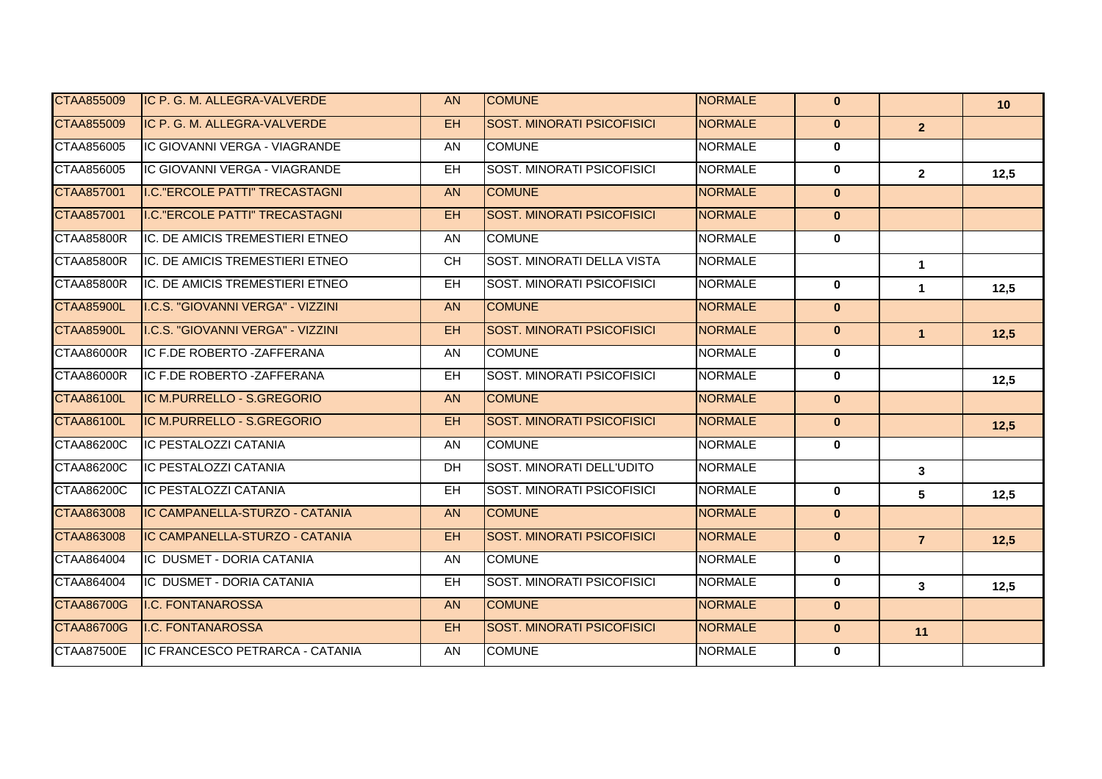| CTAA855009        | IC P. G. M. ALLEGRA-VALVERDE      | <b>AN</b> | <b>COMUNE</b>                     | <b>NORMALE</b> | $\mathbf{0}$ |                | 10   |
|-------------------|-----------------------------------|-----------|-----------------------------------|----------------|--------------|----------------|------|
| CTAA855009        | IC P. G. M. ALLEGRA-VALVERDE      | EH.       | <b>SOST. MINORATI PSICOFISICI</b> | <b>NORMALE</b> | $\mathbf{0}$ | 2 <sup>1</sup> |      |
| CTAA856005        | IC GIOVANNI VERGA - VIAGRANDE     | AN        | <b>COMUNE</b>                     | <b>NORMALE</b> | $\mathbf{0}$ |                |      |
| CTAA856005        | IC GIOVANNI VERGA - VIAGRANDE     | EH.       | SOST. MINORATI PSICOFISICI        | <b>NORMALE</b> | $\mathbf 0$  | $\overline{2}$ | 12,5 |
| CTAA857001        | I.C. "ERCOLE PATTI" TRECASTAGNI   | <b>AN</b> | <b>COMUNE</b>                     | <b>NORMALE</b> | $\mathbf{0}$ |                |      |
| CTAA857001        | I.C. "ERCOLE PATTI" TRECASTAGNI   | EH.       | <b>SOST. MINORATI PSICOFISICI</b> | <b>NORMALE</b> | $\mathbf{0}$ |                |      |
| CTAA85800R        | IC. DE AMICIS TREMESTIERI ETNEO   | AN        | <b>COMUNE</b>                     | <b>NORMALE</b> | $\mathbf 0$  |                |      |
| <b>CTAA85800R</b> | IC. DE AMICIS TREMESTIERI ETNEO   | <b>CH</b> | <b>SOST. MINORATI DELLA VISTA</b> | <b>NORMALE</b> |              | $\mathbf{1}$   |      |
| CTAA85800R        | IC. DE AMICIS TREMESTIERI ETNEO   | EH.       | SOST. MINORATI PSICOFISICI        | <b>NORMALE</b> | $\mathbf 0$  | $\mathbf{1}$   | 12,5 |
| <b>CTAA85900L</b> | I.C.S. "GIOVANNI VERGA" - VIZZINI | <b>AN</b> | <b>COMUNE</b>                     | <b>NORMALE</b> | $\mathbf{0}$ |                |      |
| <b>CTAA85900L</b> | I.C.S. "GIOVANNI VERGA" - VIZZINI | EH.       | <b>SOST. MINORATI PSICOFISICI</b> | <b>NORMALE</b> | $\mathbf{0}$ | $\mathbf{1}$   | 12,5 |
| CTAA86000R        | IC F.DE ROBERTO - ZAFFERANA       | AN        | <b>COMUNE</b>                     | <b>NORMALE</b> | $\mathbf{0}$ |                |      |
| CTAA86000R        | IC F.DE ROBERTO - ZAFFERANA       | <b>EH</b> | SOST. MINORATI PSICOFISICI        | <b>NORMALE</b> | $\mathbf{0}$ |                | 12,5 |
| CTAA86100L        | IC M.PURRELLO - S.GREGORIO        | <b>AN</b> | <b>COMUNE</b>                     | <b>NORMALE</b> | $\mathbf{0}$ |                |      |
| <b>CTAA86100L</b> | IC M.PURRELLO - S.GREGORIO        | EH.       | <b>SOST. MINORATI PSICOFISICI</b> | <b>NORMALE</b> | $\mathbf{0}$ |                | 12,5 |
| CTAA86200C        | IC PESTALOZZI CATANIA             | AN        | <b>COMUNE</b>                     | <b>NORMALE</b> | $\mathbf 0$  |                |      |
| CTAA86200C        | IC PESTALOZZI CATANIA             | DH.       | SOST. MINORATI DELL'UDITO         | <b>NORMALE</b> |              | 3              |      |
| CTAA86200C        | IC PESTALOZZI CATANIA             | <b>EH</b> | SOST. MINORATI PSICOFISICI        | <b>NORMALE</b> | $\mathbf{0}$ | 5              | 12,5 |
| CTAA863008        | IC CAMPANELLA-STURZO - CATANIA    | <b>AN</b> | <b>COMUNE</b>                     | <b>NORMALE</b> | $\mathbf{0}$ |                |      |
| CTAA863008        | IC CAMPANELLA-STURZO - CATANIA    | EH.       | <b>SOST. MINORATI PSICOFISICI</b> | <b>NORMALE</b> | $\mathbf{0}$ | $\overline{7}$ | 12,5 |
| CTAA864004        | IC DUSMET - DORIA CATANIA         | AN        | <b>COMUNE</b>                     | <b>NORMALE</b> | $\mathbf{0}$ |                |      |
| CTAA864004        | IC DUSMET - DORIA CATANIA         | <b>EH</b> | SOST. MINORATI PSICOFISICI        | <b>NORMALE</b> | $\mathbf 0$  | 3              | 12,5 |
| <b>CTAA86700G</b> | <b>I.C. FONTANAROSSA</b>          | <b>AN</b> | <b>COMUNE</b>                     | <b>NORMALE</b> | $\mathbf{0}$ |                |      |
| <b>CTAA86700G</b> | I.C. FONTANAROSSA                 | EH.       | <b>SOST. MINORATI PSICOFISICI</b> | <b>NORMALE</b> | $\mathbf{0}$ | 11             |      |
| <b>CTAA87500E</b> | IC FRANCESCO PETRARCA - CATANIA   | AN        | <b>COMUNE</b>                     | <b>NORMALE</b> | $\mathbf{0}$ |                |      |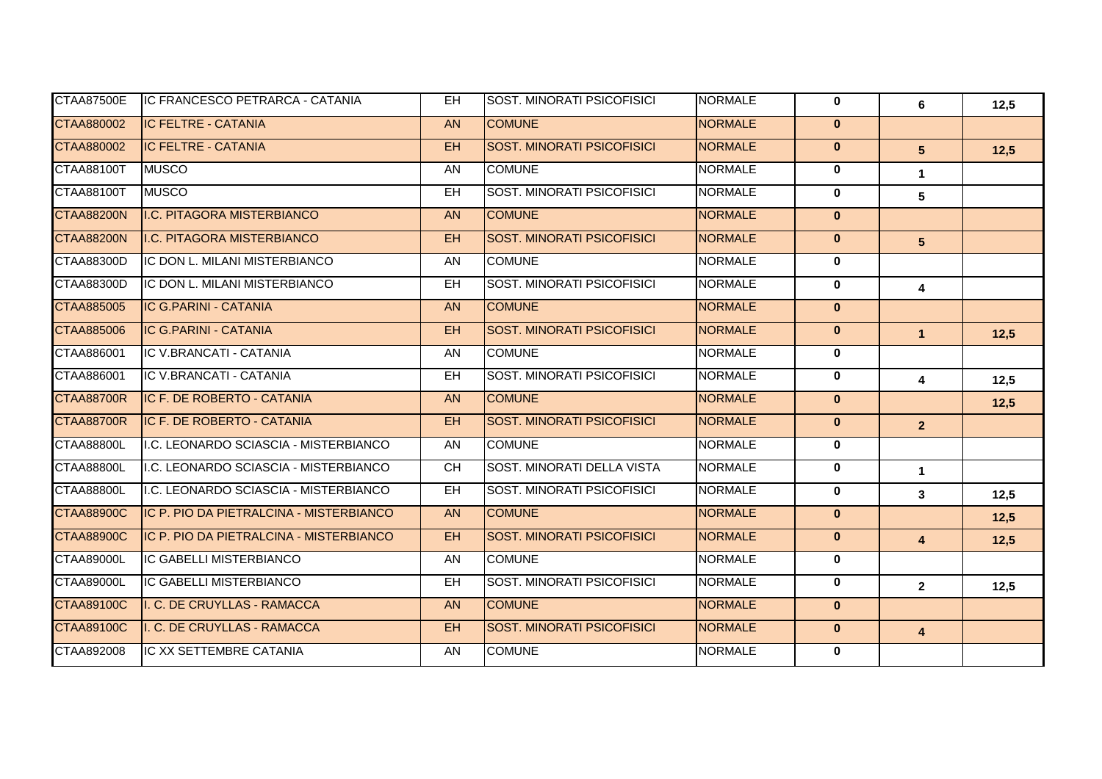| CTAA87500E        | IC FRANCESCO PETRARCA - CATANIA         | EH.       | <b>SOST. MINORATI PSICOFISICI</b> | <b>NORMALE</b> | 0            | 6                       | 12,5 |
|-------------------|-----------------------------------------|-----------|-----------------------------------|----------------|--------------|-------------------------|------|
| CTAA880002        | IC FELTRE - CATANIA                     | <b>AN</b> | <b>COMUNE</b>                     | <b>NORMALE</b> | $\mathbf{0}$ |                         |      |
| CTAA880002        | IC FELTRE - CATANIA                     | EH.       | <b>SOST. MINORATI PSICOFISICI</b> | <b>NORMALE</b> | $\mathbf{0}$ | $5\phantom{1}$          | 12,5 |
| CTAA88100T        | <b>MUSCO</b>                            | AN        | <b>COMUNE</b>                     | <b>NORMALE</b> | $\mathbf 0$  | $\mathbf{1}$            |      |
| CTAA88100T        | <b>MUSCO</b>                            | <b>EH</b> | SOST. MINORATI PSICOFISICI        | <b>NORMALE</b> | $\mathbf{0}$ | 5                       |      |
| <b>CTAA88200N</b> | I.C. PITAGORA MISTERBIANCO              | <b>AN</b> | <b>COMUNE</b>                     | <b>NORMALE</b> | $\mathbf{0}$ |                         |      |
| <b>CTAA88200N</b> | I.C. PITAGORA MISTERBIANCO              | EH.       | <b>SOST. MINORATI PSICOFISICI</b> | <b>NORMALE</b> | $\mathbf{0}$ | 5 <sup>5</sup>          |      |
| <b>CTAA88300D</b> | IC DON L. MILANI MISTERBIANCO           | AN        | <b>COMUNE</b>                     | <b>NORMALE</b> | $\mathbf{0}$ |                         |      |
| <b>CTAA88300D</b> | IC DON L. MILANI MISTERBIANCO           | EH.       | <b>SOST. MINORATI PSICOFISICI</b> | <b>NORMALE</b> | $\mathbf{0}$ | 4                       |      |
| CTAA885005        | IC G.PARINI - CATANIA                   | <b>AN</b> | <b>COMUNE</b>                     | <b>NORMALE</b> | $\mathbf{0}$ |                         |      |
| CTAA885006        | IC G.PARINI - CATANIA                   | EH.       | <b>SOST. MINORATI PSICOFISICI</b> | <b>NORMALE</b> | $\mathbf{0}$ | $\mathbf{1}$            | 12,5 |
| CTAA886001        | IC V.BRANCATI - CATANIA                 | AN        | <b>COMUNE</b>                     | <b>NORMALE</b> | $\mathbf 0$  |                         |      |
| CTAA886001        | IC V.BRANCATI - CATANIA                 | <b>EH</b> | SOST. MINORATI PSICOFISICI        | <b>NORMALE</b> | $\mathbf{0}$ | 4                       | 12,5 |
| <b>CTAA88700R</b> | IC F. DE ROBERTO - CATANIA              | <b>AN</b> | <b>COMUNE</b>                     | <b>NORMALE</b> | $\mathbf{0}$ |                         | 12,5 |
| <b>CTAA88700R</b> | IC F. DE ROBERTO - CATANIA              | EH.       | <b>SOST. MINORATI PSICOFISICI</b> | <b>NORMALE</b> | $\mathbf{0}$ | 2 <sup>1</sup>          |      |
| CTAA88800L        | I.C. LEONARDO SCIASCIA - MISTERBIANCO   | AN        | <b>COMUNE</b>                     | <b>NORMALE</b> | $\mathbf 0$  |                         |      |
| <b>CTAA88800L</b> | I.C. LEONARDO SCIASCIA - MISTERBIANCO   | <b>CH</b> | SOST. MINORATI DELLA VISTA        | <b>NORMALE</b> | $\mathbf{0}$ | $\mathbf{1}$            |      |
| <b>CTAA88800L</b> | I.C. LEONARDO SCIASCIA - MISTERBIANCO   | <b>EH</b> | SOST. MINORATI PSICOFISICI        | <b>NORMALE</b> | $\mathbf{0}$ | 3                       | 12,5 |
| <b>CTAA88900C</b> | IC P. PIO DA PIETRALCINA - MISTERBIANCO | <b>AN</b> | <b>COMUNE</b>                     | <b>NORMALE</b> | $\mathbf{0}$ |                         | 12,5 |
| <b>CTAA88900C</b> | IC P. PIO DA PIETRALCINA - MISTERBIANCO | EH.       | <b>SOST. MINORATI PSICOFISICI</b> | <b>NORMALE</b> | $\mathbf{0}$ | $\overline{4}$          | 12,5 |
| <b>CTAA89000L</b> | <b>IC GABELLI MISTERBIANCO</b>          | AN.       | <b>COMUNE</b>                     | <b>NORMALE</b> | $\mathbf{0}$ |                         |      |
| <b>CTAA89000L</b> | IC GABELLI MISTERBIANCO                 | <b>EH</b> | <b>SOST. MINORATI PSICOFISICI</b> | <b>NORMALE</b> | $\mathbf{0}$ | $\overline{2}$          | 12,5 |
| <b>CTAA89100C</b> | I. C. DE CRUYLLAS - RAMACCA             | AN.       | <b>COMUNE</b>                     | <b>NORMALE</b> | $\mathbf{0}$ |                         |      |
| <b>CTAA89100C</b> | I. C. DE CRUYLLAS - RAMACCA             | EH.       | <b>SOST. MINORATI PSICOFISICI</b> | <b>NORMALE</b> | $\mathbf{0}$ | $\overline{\mathbf{4}}$ |      |
| CTAA892008        | IC XX SETTEMBRE CATANIA                 | <b>AN</b> | <b>COMUNE</b>                     | <b>NORMALE</b> | $\mathbf{0}$ |                         |      |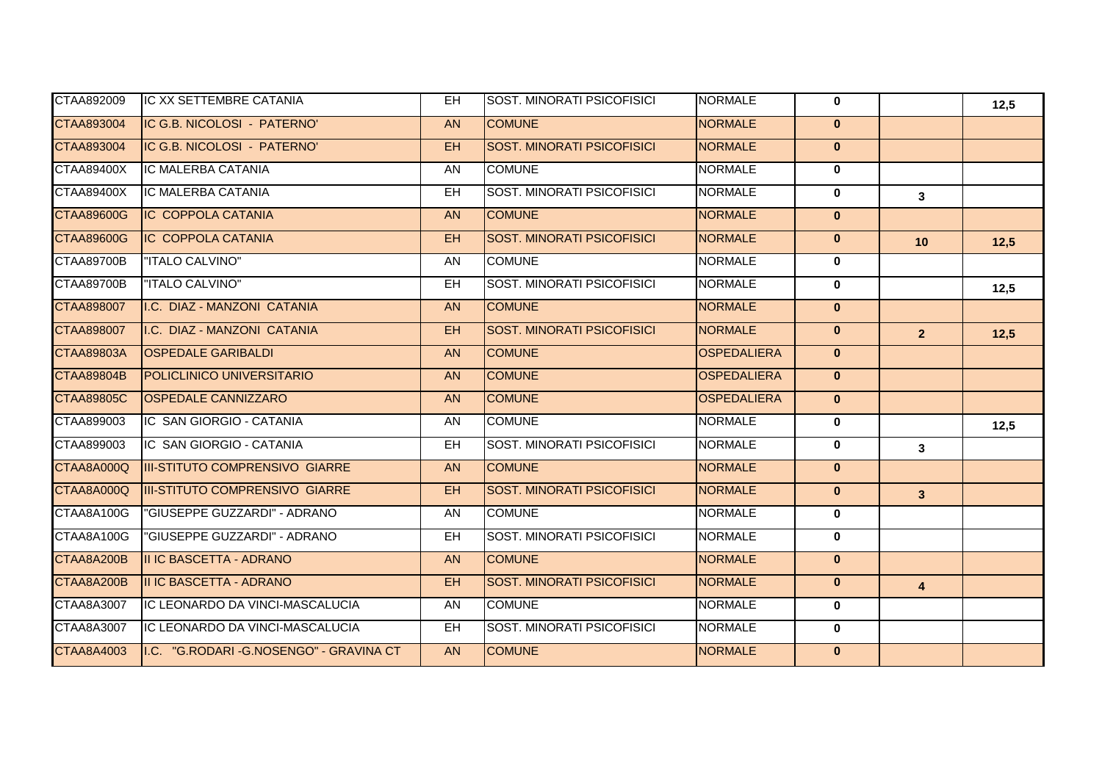| CTAA892009        | IC XX SETTEMBRE CATANIA                | EH.       | <b>SOST. MINORATI PSICOFISICI</b> | <b>NORMALE</b>     | $\mathbf{0}$ |                | 12,5 |
|-------------------|----------------------------------------|-----------|-----------------------------------|--------------------|--------------|----------------|------|
| CTAA893004        | IC G.B. NICOLOSI - PATERNO'            | <b>AN</b> | <b>COMUNE</b>                     | <b>NORMALE</b>     | $\mathbf{0}$ |                |      |
| CTAA893004        | IC G.B. NICOLOSI - PATERNO'            | EH.       | <b>SOST. MINORATI PSICOFISICI</b> | <b>NORMALE</b>     | $\mathbf{0}$ |                |      |
| CTAA89400X        | IC MALERBA CATANIA                     | AN        | <b>COMUNE</b>                     | <b>NORMALE</b>     | $\mathbf 0$  |                |      |
| CTAA89400X        | IC MALERBA CATANIA                     | EH.       | SOST. MINORATI PSICOFISICI        | <b>NORMALE</b>     | $\mathbf 0$  | 3              |      |
| <b>CTAA89600G</b> | <b>IC COPPOLA CATANIA</b>              | <b>AN</b> | <b>COMUNE</b>                     | <b>NORMALE</b>     | $\mathbf{0}$ |                |      |
| <b>CTAA89600G</b> | <b>IC COPPOLA CATANIA</b>              | EH.       | <b>SOST. MINORATI PSICOFISICI</b> | <b>NORMALE</b>     | $\mathbf{0}$ | 10             | 12,5 |
| CTAA89700B        | "ITALO CALVINO"                        | AN.       | <b>COMUNE</b>                     | <b>NORMALE</b>     | $\mathbf{0}$ |                |      |
| CTAA89700B        | "ITALO CALVINO"                        | EH.       | <b>SOST. MINORATI PSICOFISICI</b> | <b>NORMALE</b>     | $\mathbf{0}$ |                | 12,5 |
| CTAA898007        | I.C. DIAZ - MANZONI CATANIA            | <b>AN</b> | <b>COMUNE</b>                     | <b>NORMALE</b>     | $\mathbf{0}$ |                |      |
| CTAA898007        | I.C. DIAZ - MANZONI CATANIA            | EH.       | <b>SOST. MINORATI PSICOFISICI</b> | <b>NORMALE</b>     | $\mathbf{0}$ | 2 <sup>1</sup> | 12,5 |
| CTAA89803A        | <b>OSPEDALE GARIBALDI</b>              | <b>AN</b> | <b>COMUNE</b>                     | <b>OSPEDALIERA</b> | $\mathbf{0}$ |                |      |
| <b>CTAA89804B</b> | POLICLINICO UNIVERSITARIO              | <b>AN</b> | <b>COMUNE</b>                     | <b>OSPEDALIERA</b> | $\mathbf{0}$ |                |      |
| <b>CTAA89805C</b> | <b>OSPEDALE CANNIZZARO</b>             | <b>AN</b> | <b>COMUNE</b>                     | <b>OSPEDALIERA</b> | $\mathbf{0}$ |                |      |
| CTAA899003        | IC SAN GIORGIO - CATANIA               | AN        | <b>COMUNE</b>                     | <b>NORMALE</b>     | $\mathbf{0}$ |                | 12,5 |
| CTAA899003        | IC SAN GIORGIO - CATANIA               | EH.       | SOST. MINORATI PSICOFISICI        | <b>NORMALE</b>     | $\mathbf 0$  | $\mathbf{3}$   |      |
| CTAA8A000Q        | <b>III-STITUTO COMPRENSIVO GIARRE</b>  | <b>AN</b> | <b>COMUNE</b>                     | <b>NORMALE</b>     | $\mathbf{0}$ |                |      |
| CTAA8A000Q        | <b>III-STITUTO COMPRENSIVO GIARRE</b>  | EH.       | <b>SOST. MINORATI PSICOFISICI</b> | <b>NORMALE</b>     | $\mathbf{0}$ | 3 <sup>1</sup> |      |
| CTAA8A100G        | "GIUSEPPE GUZZARDI" - ADRANO           | AN        | <b>COMUNE</b>                     | <b>NORMALE</b>     | $\mathbf{0}$ |                |      |
| CTAA8A100G        | "GIUSEPPE GUZZARDI" - ADRANO           | EH.       | <b>SOST. MINORATI PSICOFISICI</b> | <b>NORMALE</b>     | $\mathbf{0}$ |                |      |
| CTAA8A200B        | <b>II IC BASCETTA - ADRANO</b>         | <b>AN</b> | <b>COMUNE</b>                     | <b>NORMALE</b>     | $\mathbf{0}$ |                |      |
| CTAA8A200B        | <b>II IC BASCETTA - ADRANO</b>         | EH.       | <b>SOST. MINORATI PSICOFISICI</b> | <b>NORMALE</b>     | $\mathbf{0}$ | $\overline{4}$ |      |
| CTAA8A3007        | IC LEONARDO DA VINCI-MASCALUCIA        | AN        | <b>COMUNE</b>                     | <b>NORMALE</b>     | $\mathbf{0}$ |                |      |
| CTAA8A3007        | IC LEONARDO DA VINCI-MASCALUCIA        | <b>EH</b> | <b>SOST. MINORATI PSICOFISICI</b> | <b>NORMALE</b>     | $\mathbf 0$  |                |      |
| CTAA8A4003        | I.C. "G.RODARI-G.NOSENGO" - GRAVINA CT | <b>AN</b> | <b>COMUNE</b>                     | <b>NORMALE</b>     | $\mathbf{0}$ |                |      |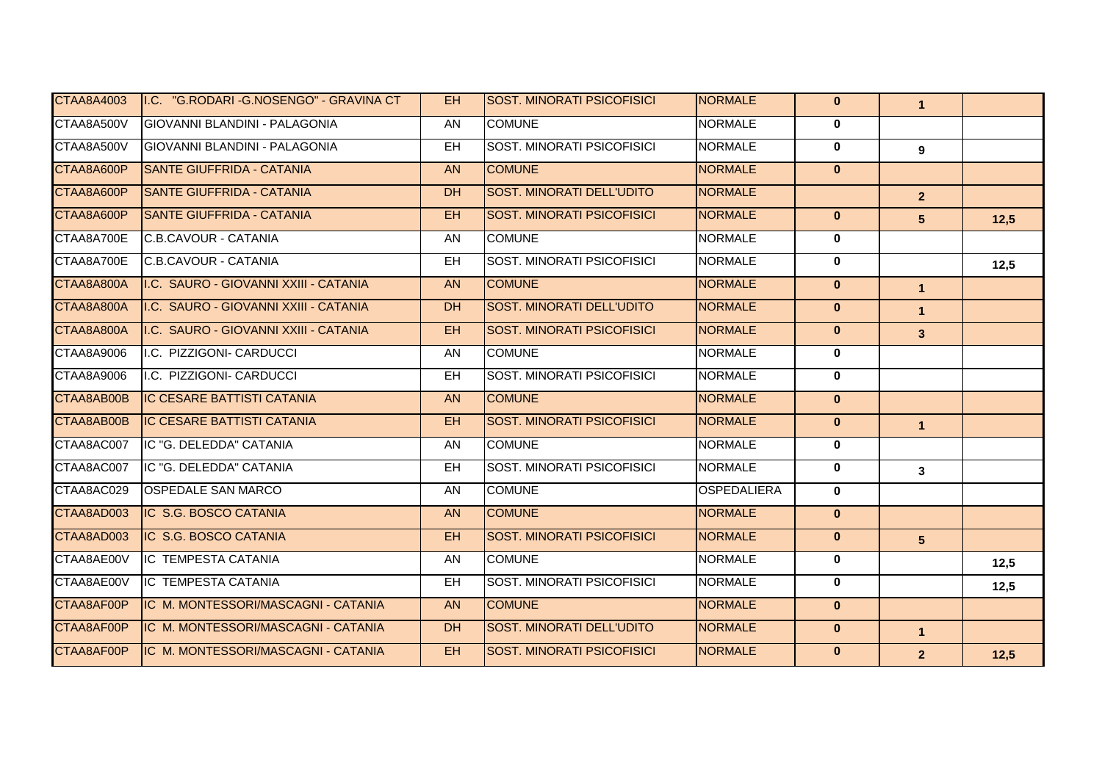| <b>CTAA8A4003</b> | I.C. "G.RODARI-G.NOSENGO" - GRAVINA CT     | EH.       | <b>SOST. MINORATI PSICOFISICI</b> | <b>NORMALE</b>     | $\bf{0}$     | $\mathbf{1}$   |      |
|-------------------|--------------------------------------------|-----------|-----------------------------------|--------------------|--------------|----------------|------|
| CTAA8A500V        | <b>GIOVANNI BLANDINI - PALAGONIA</b>       | AN.       | <b>COMUNE</b>                     | <b>NORMALE</b>     | $\mathbf 0$  |                |      |
| CTAA8A500V        | <b>GIOVANNI BLANDINI - PALAGONIA</b>       | EH.       | <b>SOST. MINORATI PSICOFISICI</b> | <b>NORMALE</b>     | $\mathbf{0}$ | 9              |      |
| CTAA8A600P        | <b>SANTE GIUFFRIDA - CATANIA</b>           | <b>AN</b> | <b>COMUNE</b>                     | <b>NORMALE</b>     | $\mathbf{0}$ |                |      |
| CTAA8A600P        | <b>SANTE GIUFFRIDA - CATANIA</b>           | DH.       | <b>SOST. MINORATI DELL'UDITO</b>  | <b>NORMALE</b>     |              | 2 <sup>1</sup> |      |
| CTAA8A600P        | <b>SANTE GIUFFRIDA - CATANIA</b>           | EH.       | <b>SOST. MINORATI PSICOFISICI</b> | <b>NORMALE</b>     | $\mathbf{0}$ | 5 <sup>5</sup> | 12,5 |
| CTAA8A700E        | <b>C.B.CAVOUR - CATANIA</b>                | AN        | <b>COMUNE</b>                     | <b>NORMALE</b>     | $\mathbf{0}$ |                |      |
| CTAA8A700E        | C.B.CAVOUR - CATANIA                       | EH.       | <b>SOST. MINORATI PSICOFISICI</b> | <b>NORMALE</b>     | $\mathbf{0}$ |                | 12,5 |
| CTAA8A800A        | II.C. SAURO - GIOVANNI XXIII - CATANIA     | <b>AN</b> | <b>COMUNE</b>                     | <b>NORMALE</b>     | $\mathbf{0}$ | $\mathbf{1}$   |      |
| CTAA8A800A        | II.C. SAURO - GIOVANNI XXIII - CATANIA     | DH.       | <b>SOST. MINORATI DELL'UDITO</b>  | <b>NORMALE</b>     | $\mathbf{0}$ | $\mathbf{1}$   |      |
| CTAA8A800A        | II.C. SAURO - GIOVANNI XXIII - CATANIA     | EH.       | <b>SOST. MINORATI PSICOFISICI</b> | <b>NORMALE</b>     | $\mathbf{0}$ | 3 <sup>5</sup> |      |
| CTAA8A9006        | I.C. PIZZIGONI- CARDUCCI                   | AN        | <b>COMUNE</b>                     | <b>NORMALE</b>     | $\mathbf 0$  |                |      |
| CTAA8A9006        | I.C. PIZZIGONI- CARDUCCI                   | EH.       | <b>SOST. MINORATI PSICOFISICI</b> | <b>NORMALE</b>     | $\mathbf{0}$ |                |      |
| CTAA8AB00B        | <b>IC CESARE BATTISTI CATANIA</b>          | <b>AN</b> | <b>COMUNE</b>                     | <b>NORMALE</b>     | $\mathbf{0}$ |                |      |
| CTAA8AB00B        | <b>IC CESARE BATTISTI CATANIA</b>          | EH.       | <b>SOST. MINORATI PSICOFISICI</b> | <b>NORMALE</b>     | $\mathbf{0}$ | $\mathbf{1}$   |      |
| CTAA8AC007        | IC "G. DELEDDA" CATANIA                    | AN        | <b>COMUNE</b>                     | <b>NORMALE</b>     | $\mathbf 0$  |                |      |
| CTAA8AC007        | IC "G. DELEDDA" CATANIA                    | EH.       | SOST. MINORATI PSICOFISICI        | <b>NORMALE</b>     | $\mathbf{0}$ | 3              |      |
| CTAA8AC029        | <b>OSPEDALE SAN MARCO</b>                  | AN        | <b>COMUNE</b>                     | <b>OSPEDALIERA</b> | $\mathbf{0}$ |                |      |
| CTAA8AD003        | <b>IC S.G. BOSCO CATANIA</b>               | <b>AN</b> | <b>COMUNE</b>                     | <b>NORMALE</b>     | $\mathbf{0}$ |                |      |
| CTAA8AD003        | IC S.G. BOSCO CATANIA                      | EH.       | <b>SOST. MINORATI PSICOFISICI</b> | <b>NORMALE</b>     | $\mathbf{0}$ | 5 <sup>5</sup> |      |
| CTAA8AE00V        | IC TEMPESTA CATANIA                        | AN        | <b>COMUNE</b>                     | <b>NORMALE</b>     | $\mathbf{0}$ |                | 12,5 |
| CTAA8AE00V        | <b>IC TEMPESTA CATANIA</b>                 | EH.       | SOST. MINORATI PSICOFISICI        | <b>NORMALE</b>     | $\mathbf 0$  |                | 12,5 |
| CTAA8AF00P        | IC M. MONTESSORI/MASCAGNI - CATANIA        | <b>AN</b> | <b>COMUNE</b>                     | <b>NORMALE</b>     | $\mathbf{0}$ |                |      |
| CTAA8AF00P        | IC M. MONTESSORI/MASCAGNI - CATANIA        | DH.       | <b>SOST. MINORATI DELL'UDITO</b>  | <b>NORMALE</b>     | $\mathbf{0}$ | $\mathbf{1}$   |      |
| CTAA8AF00P        | <b>IC M. MONTESSORI/MASCAGNI - CATANIA</b> | EH.       | <b>SOST. MINORATI PSICOFISICI</b> | <b>NORMALE</b>     | $\mathbf{0}$ | 2 <sup>1</sup> | 12,5 |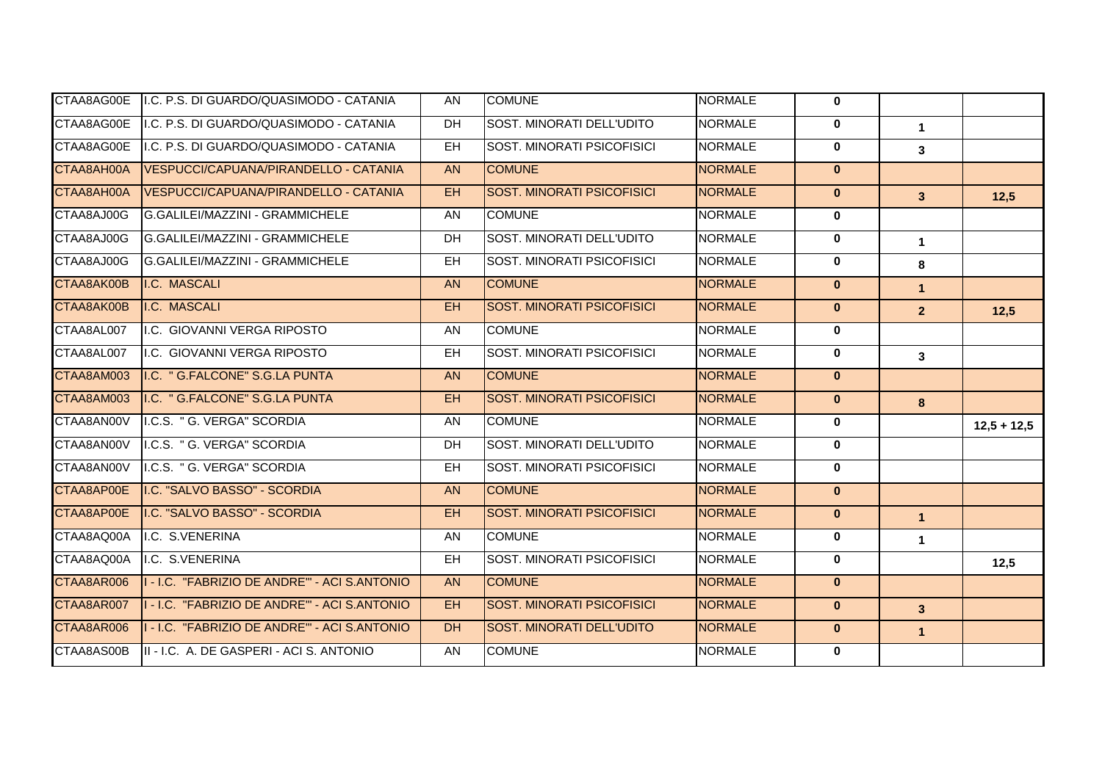| CTAA8AG00E | I.C. P.S. DI GUARDO/QUASIMODO - CATANIA      | AN        | <b>COMUNE</b>                     | <b>NORMALE</b> | $\mathbf{0}$ |                         |               |
|------------|----------------------------------------------|-----------|-----------------------------------|----------------|--------------|-------------------------|---------------|
| CTAA8AG00E | I.C. P.S. DI GUARDO/QUASIMODO - CATANIA      | <b>DH</b> | SOST. MINORATI DELL'UDITO         | <b>NORMALE</b> | $\mathbf 0$  | $\mathbf 1$             |               |
| CTAA8AG00E | I.C. P.S. DI GUARDO/QUASIMODO - CATANIA      | EH.       | SOST. MINORATI PSICOFISICI        | <b>NORMALE</b> | $\mathbf{0}$ | 3                       |               |
| CTAA8AH00A | VESPUCCI/CAPUANA/PIRANDELLO - CATANIA        | <b>AN</b> | <b>COMUNE</b>                     | <b>NORMALE</b> | $\mathbf{0}$ |                         |               |
| CTAA8AH00A | VESPUCCI/CAPUANA/PIRANDELLO - CATANIA        | EH.       | <b>SOST. MINORATI PSICOFISICI</b> | <b>NORMALE</b> | $\mathbf{0}$ | $\overline{3}$          | 12,5          |
| CTAA8AJ00G | <b>IG.GALILEI/MAZZINI - GRAMMICHELE</b>      | AN.       | <b>COMUNE</b>                     | <b>NORMALE</b> | $\mathbf 0$  |                         |               |
| CTAA8AJ00G | G.GALILEI/MAZZINI - GRAMMICHELE              | DH.       | <b>SOST. MINORATI DELL'UDITO</b>  | <b>NORMALE</b> | 0            | $\mathbf 1$             |               |
| CTAA8AJ00G | G.GALILEI/MAZZINI - GRAMMICHELE              | EH.       | <b>SOST. MINORATI PSICOFISICI</b> | <b>NORMALE</b> | $\mathbf 0$  | 8                       |               |
| CTAA8AK00B | I.C. MASCALI                                 | <b>AN</b> | <b>COMUNE</b>                     | <b>NORMALE</b> | $\mathbf{0}$ | $\mathbf{1}$            |               |
| CTAA8AK00B | II.C. MASCALI                                | EH.       | ISOST. MINORATI PSICOFISICI       | <b>NORMALE</b> | $\mathbf{0}$ | $\overline{2}$          | 12,5          |
| CTAA8AL007 | I.C. GIOVANNI VERGA RIPOSTO                  | <b>AN</b> | <b>COMUNE</b>                     | <b>NORMALE</b> | $\mathbf{0}$ |                         |               |
| CTAA8AL007 | I.C. GIOVANNI VERGA RIPOSTO                  | EH.       | SOST. MINORATI PSICOFISICI        | <b>NORMALE</b> | $\mathbf{0}$ | 3                       |               |
| CTAA8AM003 | I.C. " G.FALCONE" S.G.LA PUNTA               | <b>AN</b> | <b>COMUNE</b>                     | <b>NORMALE</b> | $\mathbf{0}$ |                         |               |
| CTAA8AM003 | I.C. " G.FALCONE" S.G.LA PUNTA               | EH.       | <b>SOST. MINORATI PSICOFISICI</b> | <b>NORMALE</b> | $\mathbf{0}$ | 8                       |               |
| CTAA8AN00V | I.C.S. " G. VERGA" SCORDIA                   | AN        | <b>COMUNE</b>                     | <b>NORMALE</b> | $\mathbf 0$  |                         | $12,5 + 12,5$ |
| CTAA8AN00V | I.C.S. " G. VERGA" SCORDIA                   | <b>DH</b> | SOST. MINORATI DELL'UDITO         | <b>NORMALE</b> | $\mathbf 0$  |                         |               |
| CTAA8AN00V | I.C.S. " G. VERGA" SCORDIA                   | EH.       | SOST. MINORATI PSICOFISICI        | <b>NORMALE</b> | $\mathbf{0}$ |                         |               |
| CTAA8AP00E | I.C. "SALVO BASSO" - SCORDIA                 | AN.       | <b>COMUNE</b>                     | <b>NORMALE</b> | $\mathbf{0}$ |                         |               |
| CTAA8AP00E | I.C. "SALVO BASSO" - SCORDIA                 | EH.       | <b>SOST. MINORATI PSICOFISICI</b> | <b>NORMALE</b> | $\mathbf{0}$ | $\mathbf{1}$            |               |
| CTAA8AQ00A | I.C. S.VENERINA                              | AN        | <b>COMUNE</b>                     | <b>NORMALE</b> | $\mathbf{0}$ | $\mathbf 1$             |               |
| CTAA8AQ00A | I.C. S.VENERINA                              | <b>EH</b> | SOST. MINORATI PSICOFISICI        | <b>NORMALE</b> | $\mathbf{0}$ |                         | 12,5          |
| CTAA8AR006 | I - I.C. "FABRIZIO DE ANDRE" - ACI S.ANTONIO | <b>AN</b> | <b>COMUNE</b>                     | <b>NORMALE</b> | $\mathbf{0}$ |                         |               |
| CTAA8AR007 | I - I.C. "FABRIZIO DE ANDRE" - ACI S.ANTONIO | $E$ H     | <b>SOST. MINORATI PSICOFISICI</b> | <b>NORMALE</b> | $\mathbf{0}$ | $\overline{\mathbf{3}}$ |               |
| CTAA8AR006 | I-I.C. "FABRIZIO DE ANDRE" - ACI S.ANTONIO   | <b>DH</b> | <b>SOST. MINORATI DELL'UDITO</b>  | <b>NORMALE</b> | $\mathbf{0}$ | $\mathbf{1}$            |               |
| CTAA8AS00B | II - I.C. A. DE GASPERI - ACI S. ANTONIO     | AN        | <b>COMUNE</b>                     | <b>NORMALE</b> | $\mathbf{0}$ |                         |               |